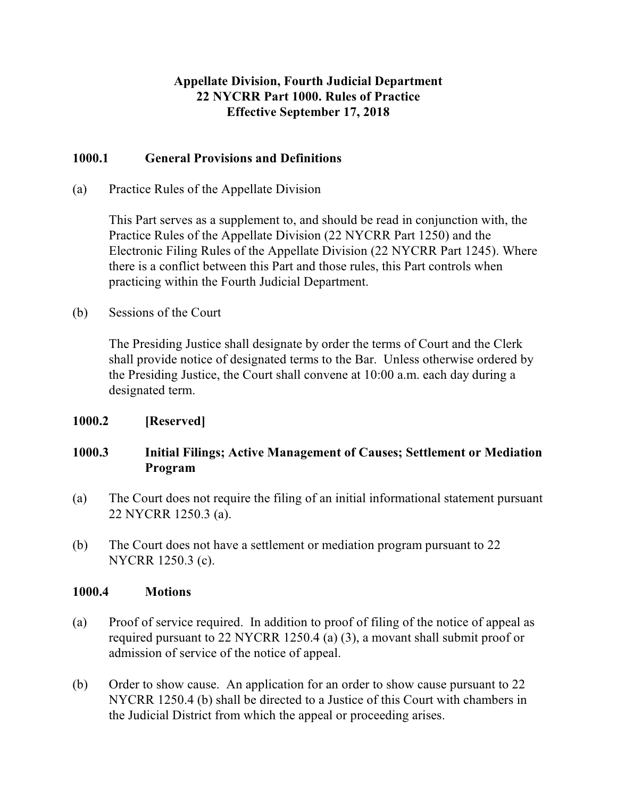## **Appellate Division, Fourth Judicial Department 22 NYCRR Part 1000. Rules of Practice Effective September 17, 2018**

### **1000.1 General Provisions and Definitions**

(a) Practice Rules of the Appellate Division

This Part serves as a supplement to, and should be read in conjunction with, the Practice Rules of the Appellate Division (22 NYCRR Part 1250) and the Electronic Filing Rules of the Appellate Division (22 NYCRR Part 1245). Where there is a conflict between this Part and those rules, this Part controls when practicing within the Fourth Judicial Department.

(b) Sessions of the Court

The Presiding Justice shall designate by order the terms of Court and the Clerk shall provide notice of designated terms to the Bar. Unless otherwise ordered by the Presiding Justice, the Court shall convene at 10:00 a.m. each day during a designated term.

### **1000.2 [Reserved]**

# **1000.3 Initial Filings; Active Management of Causes; Settlement or Mediation Program**

- (a) The Court does not require the filing of an initial informational statement pursuant 22 NYCRR 1250.3 (a).
- (b) The Court does not have a settlement or mediation program pursuant to 22 NYCRR 1250.3 (c).

#### **1000.4 Motions**

- (a) Proof of service required. In addition to proof of filing of the notice of appeal as required pursuant to 22 NYCRR 1250.4 (a) (3), a movant shall submit proof or admission of service of the notice of appeal.
- (b) Order to show cause. An application for an order to show cause pursuant to 22 NYCRR 1250.4 (b) shall be directed to a Justice of this Court with chambers in the Judicial District from which the appeal or proceeding arises.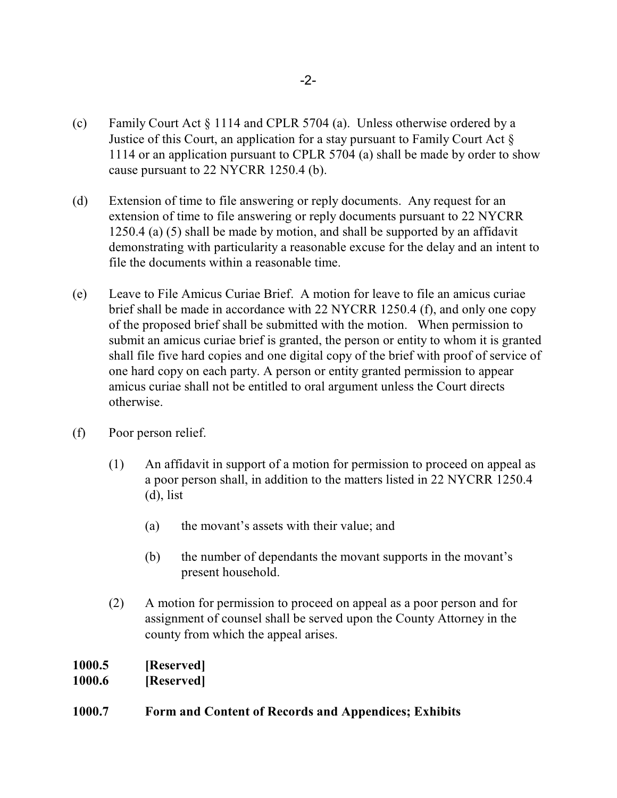- (c) Family Court Act § 1114 and CPLR 5704 (a). Unless otherwise ordered by a Justice of this Court, an application for a stay pursuant to Family Court Act  $\S$ 1114 or an application pursuant to CPLR 5704 (a) shall be made by order to show cause pursuant to 22 NYCRR 1250.4 (b).
- (d) Extension of time to file answering or reply documents. Any request for an extension of time to file answering or reply documents pursuant to 22 NYCRR 1250.4 (a) (5) shall be made by motion, and shall be supported by an affidavit demonstrating with particularity a reasonable excuse for the delay and an intent to file the documents within a reasonable time.
- (e) Leave to File Amicus Curiae Brief. A motion for leave to file an amicus curiae brief shall be made in accordance with 22 NYCRR 1250.4 (f), and only one copy of the proposed brief shall be submitted with the motion. When permission to submit an amicus curiae brief is granted, the person or entity to whom it is granted shall file five hard copies and one digital copy of the brief with proof of service of one hard copy on each party. A person or entity granted permission to appear amicus curiae shall not be entitled to oral argument unless the Court directs otherwise.
- (f) Poor person relief.
	- (1) An affidavit in support of a motion for permission to proceed on appeal as a poor person shall, in addition to the matters listed in 22 NYCRR 1250.4 (d), list
		- (a) the movant's assets with their value; and
		- (b) the number of dependants the movant supports in the movant's present household.
	- (2) A motion for permission to proceed on appeal as a poor person and for assignment of counsel shall be served upon the County Attorney in the county from which the appeal arises.

| 1000.5 | [Reserved] |
|--------|------------|
| 1000.6 | [Reserved] |

### **1000.7 Form and Content of Records and Appendices; Exhibits**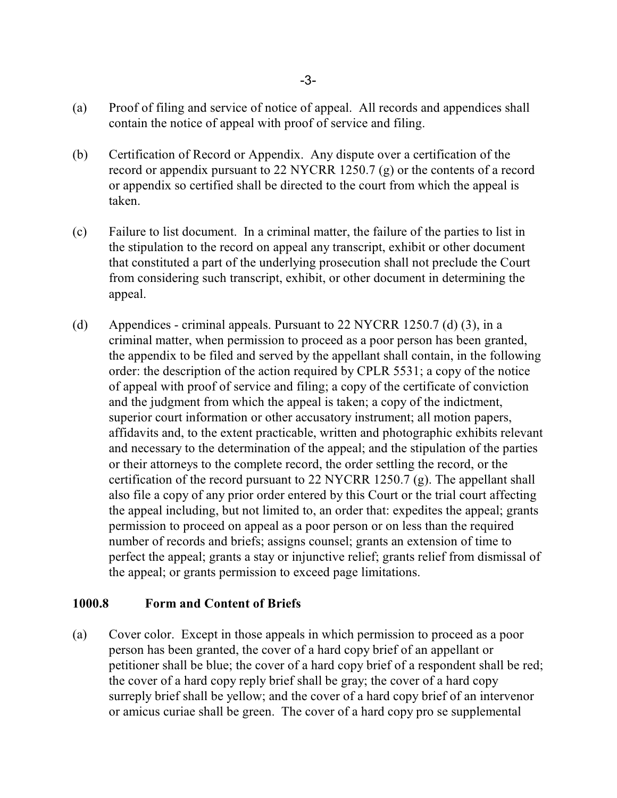- (a) Proof of filing and service of notice of appeal. All records and appendices shall contain the notice of appeal with proof of service and filing.
- (b) Certification of Record or Appendix. Any dispute over a certification of the record or appendix pursuant to 22 NYCRR 1250.7 (g) or the contents of a record or appendix so certified shall be directed to the court from which the appeal is taken.
- (c) Failure to list document. In a criminal matter, the failure of the parties to list in the stipulation to the record on appeal any transcript, exhibit or other document that constituted a part of the underlying prosecution shall not preclude the Court from considering such transcript, exhibit, or other document in determining the appeal.
- (d) Appendices criminal appeals. Pursuant to 22 NYCRR 1250.7 (d) (3), in a criminal matter, when permission to proceed as a poor person has been granted, the appendix to be filed and served by the appellant shall contain, in the following order: the description of the action required by CPLR 5531; a copy of the notice of appeal with proof of service and filing; a copy of the certificate of conviction and the judgment from which the appeal is taken; a copy of the indictment, superior court information or other accusatory instrument; all motion papers, affidavits and, to the extent practicable, written and photographic exhibits relevant and necessary to the determination of the appeal; and the stipulation of the parties or their attorneys to the complete record, the order settling the record, or the certification of the record pursuant to 22 NYCRR 1250.7 (g). The appellant shall also file a copy of any prior order entered by this Court or the trial court affecting the appeal including, but not limited to, an order that: expedites the appeal; grants permission to proceed on appeal as a poor person or on less than the required number of records and briefs; assigns counsel; grants an extension of time to perfect the appeal; grants a stay or injunctive relief; grants relief from dismissal of the appeal; or grants permission to exceed page limitations.

#### **1000.8 Form and Content of Briefs**

(a) Cover color. Except in those appeals in which permission to proceed as a poor person has been granted, the cover of a hard copy brief of an appellant or petitioner shall be blue; the cover of a hard copy brief of a respondent shall be red; the cover of a hard copy reply brief shall be gray; the cover of a hard copy surreply brief shall be yellow; and the cover of a hard copy brief of an intervenor or amicus curiae shall be green. The cover of a hard copy pro se supplemental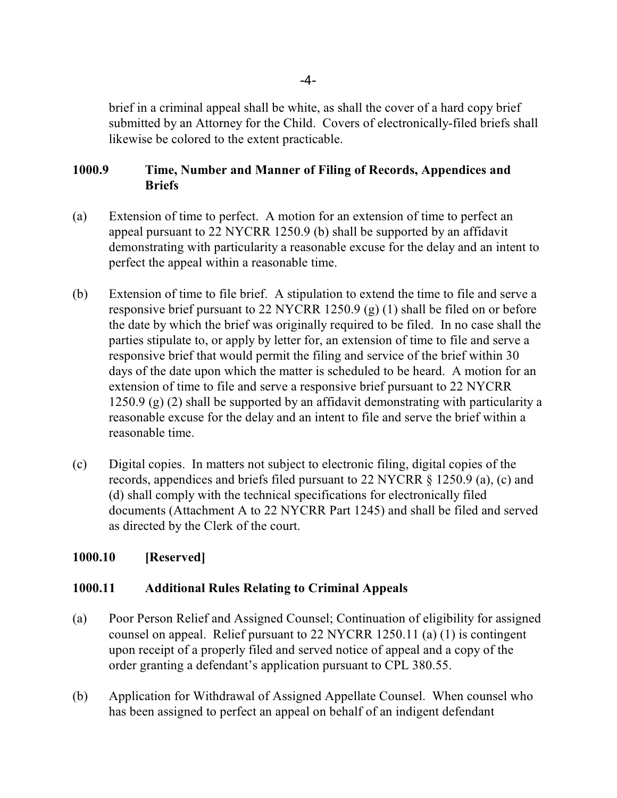brief in a criminal appeal shall be white, as shall the cover of a hard copy brief submitted by an Attorney for the Child. Covers of electronically-filed briefs shall likewise be colored to the extent practicable.

### **1000.9 Time, Number and Manner of Filing of Records, Appendices and Briefs**

- (a) Extension of time to perfect. A motion for an extension of time to perfect an appeal pursuant to 22 NYCRR 1250.9 (b) shall be supported by an affidavit demonstrating with particularity a reasonable excuse for the delay and an intent to perfect the appeal within a reasonable time.
- (b) Extension of time to file brief. A stipulation to extend the time to file and serve a responsive brief pursuant to 22 NYCRR 1250.9 (g) (1) shall be filed on or before the date by which the brief was originally required to be filed. In no case shall the parties stipulate to, or apply by letter for, an extension of time to file and serve a responsive brief that would permit the filing and service of the brief within 30 days of the date upon which the matter is scheduled to be heard. A motion for an extension of time to file and serve a responsive brief pursuant to 22 NYCRR 1250.9 (g) (2) shall be supported by an affidavit demonstrating with particularity a reasonable excuse for the delay and an intent to file and serve the brief within a reasonable time.
- (c) Digital copies. In matters not subject to electronic filing, digital copies of the records, appendices and briefs filed pursuant to 22 NYCRR § 1250.9 (a), (c) and (d) shall comply with the technical specifications for electronically filed documents (Attachment A to 22 NYCRR Part 1245) and shall be filed and served as directed by the Clerk of the court.

### **1000.10 [Reserved]**

#### **1000.11 Additional Rules Relating to Criminal Appeals**

- (a) Poor Person Relief and Assigned Counsel; Continuation of eligibility for assigned counsel on appeal. Relief pursuant to 22 NYCRR 1250.11 (a) (1) is contingent upon receipt of a properly filed and served notice of appeal and a copy of the order granting a defendant's application pursuant to CPL 380.55.
- (b) Application for Withdrawal of Assigned Appellate Counsel. When counsel who has been assigned to perfect an appeal on behalf of an indigent defendant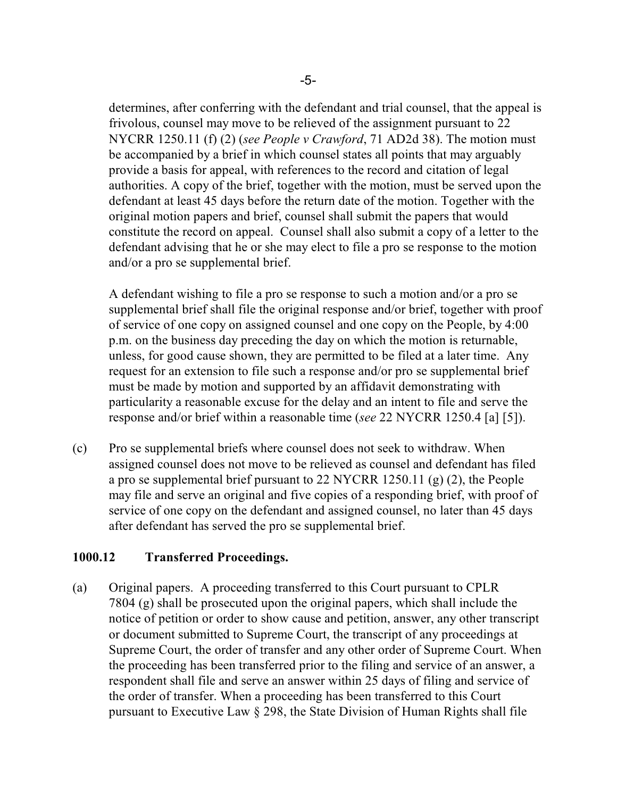determines, after conferring with the defendant and trial counsel, that the appeal is frivolous, counsel may move to be relieved of the assignment pursuant to 22 NYCRR 1250.11 (f) (2) (*see People v Crawford*, 71 AD2d 38). The motion must be accompanied by a brief in which counsel states all points that may arguably provide a basis for appeal, with references to the record and citation of legal authorities. A copy of the brief, together with the motion, must be served upon the defendant at least 45 days before the return date of the motion. Together with the original motion papers and brief, counsel shall submit the papers that would constitute the record on appeal. Counsel shall also submit a copy of a letter to the defendant advising that he or she may elect to file a pro se response to the motion and/or a pro se supplemental brief.

A defendant wishing to file a pro se response to such a motion and/or a pro se supplemental brief shall file the original response and/or brief, together with proof of service of one copy on assigned counsel and one copy on the People, by 4:00 p.m. on the business day preceding the day on which the motion is returnable, unless, for good cause shown, they are permitted to be filed at a later time. Any request for an extension to file such a response and/or pro se supplemental brief must be made by motion and supported by an affidavit demonstrating with particularity a reasonable excuse for the delay and an intent to file and serve the response and/or brief within a reasonable time (*see* 22 NYCRR 1250.4 [a] [5]).

(c) Pro se supplemental briefs where counsel does not seek to withdraw. When assigned counsel does not move to be relieved as counsel and defendant has filed a pro se supplemental brief pursuant to 22 NYCRR 1250.11 (g) (2), the People may file and serve an original and five copies of a responding brief, with proof of service of one copy on the defendant and assigned counsel, no later than 45 days after defendant has served the pro se supplemental brief.

#### **1000.12 Transferred Proceedings.**

(a) Original papers. A proceeding transferred to this Court pursuant to CPLR 7804 (g) shall be prosecuted upon the original papers, which shall include the notice of petition or order to show cause and petition, answer, any other transcript or document submitted to Supreme Court, the transcript of any proceedings at Supreme Court, the order of transfer and any other order of Supreme Court. When the proceeding has been transferred prior to the filing and service of an answer, a respondent shall file and serve an answer within 25 days of filing and service of the order of transfer. When a proceeding has been transferred to this Court pursuant to Executive Law § 298, the State Division of Human Rights shall file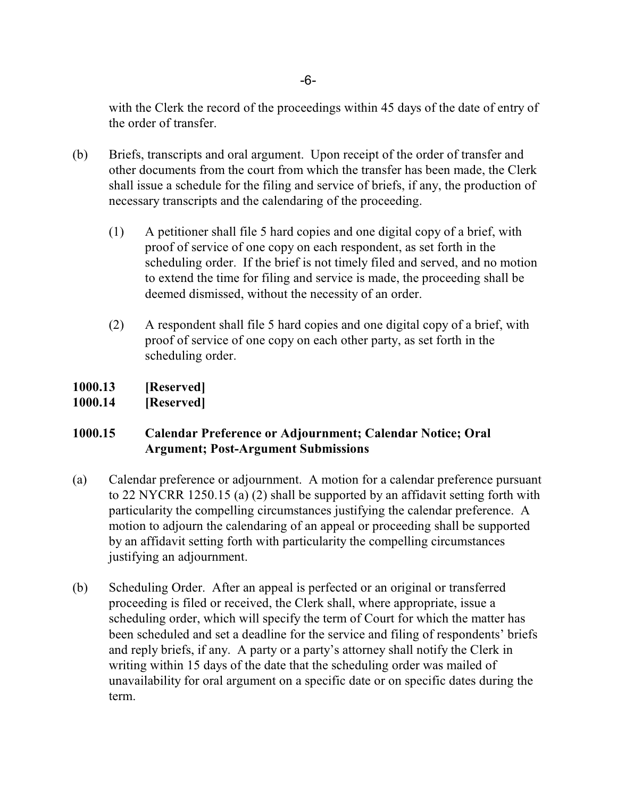with the Clerk the record of the proceedings within 45 days of the date of entry of the order of transfer.

- (b) Briefs, transcripts and oral argument. Upon receipt of the order of transfer and other documents from the court from which the transfer has been made, the Clerk shall issue a schedule for the filing and service of briefs, if any, the production of necessary transcripts and the calendaring of the proceeding.
	- (1) A petitioner shall file 5 hard copies and one digital copy of a brief, with proof of service of one copy on each respondent, as set forth in the scheduling order. If the brief is not timely filed and served, and no motion to extend the time for filing and service is made, the proceeding shall be deemed dismissed, without the necessity of an order.
	- (2) A respondent shall file 5 hard copies and one digital copy of a brief, with proof of service of one copy on each other party, as set forth in the scheduling order.
- **1000.13 [Reserved]**
- **1000.14 [Reserved]**

## **1000.15 Calendar Preference or Adjournment; Calendar Notice; Oral Argument; Post-Argument Submissions**

- (a) Calendar preference or adjournment. A motion for a calendar preference pursuant to 22 NYCRR 1250.15 (a) (2) shall be supported by an affidavit setting forth with particularity the compelling circumstances justifying the calendar preference. A motion to adjourn the calendaring of an appeal or proceeding shall be supported by an affidavit setting forth with particularity the compelling circumstances justifying an adjournment.
- (b) Scheduling Order. After an appeal is perfected or an original or transferred proceeding is filed or received, the Clerk shall, where appropriate, issue a scheduling order, which will specify the term of Court for which the matter has been scheduled and set a deadline for the service and filing of respondents' briefs and reply briefs, if any. A party or a party's attorney shall notify the Clerk in writing within 15 days of the date that the scheduling order was mailed of unavailability for oral argument on a specific date or on specific dates during the term.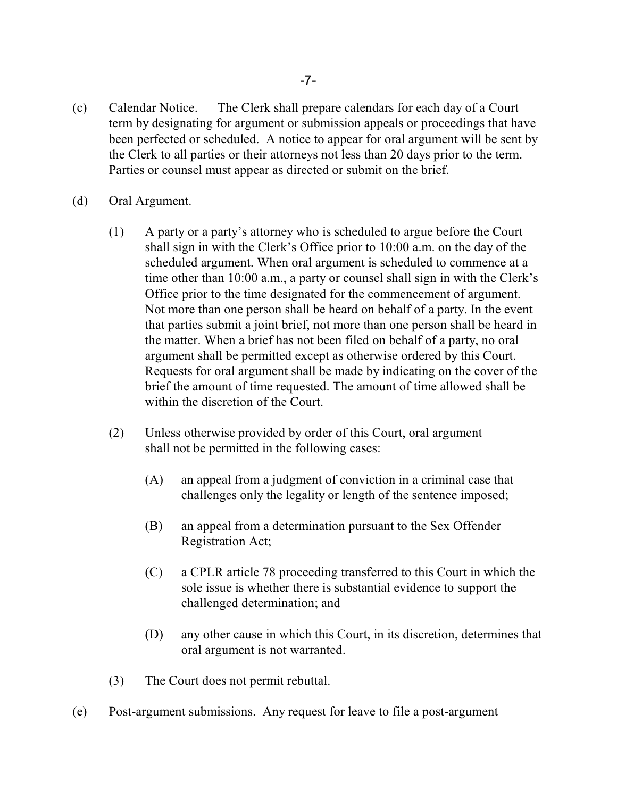- (c) Calendar Notice. The Clerk shall prepare calendars for each day of a Court term by designating for argument or submission appeals or proceedings that have been perfected or scheduled. A notice to appear for oral argument will be sent by the Clerk to all parties or their attorneys not less than 20 days prior to the term. Parties or counsel must appear as directed or submit on the brief.
- (d) Oral Argument.
	- (1) A party or a party's attorney who is scheduled to argue before the Court shall sign in with the Clerk's Office prior to 10:00 a.m. on the day of the scheduled argument. When oral argument is scheduled to commence at a time other than 10:00 a.m., a party or counsel shall sign in with the Clerk's Office prior to the time designated for the commencement of argument. Not more than one person shall be heard on behalf of a party. In the event that parties submit a joint brief, not more than one person shall be heard in the matter. When a brief has not been filed on behalf of a party, no oral argument shall be permitted except as otherwise ordered by this Court. Requests for oral argument shall be made by indicating on the cover of the brief the amount of time requested. The amount of time allowed shall be within the discretion of the Court.
	- (2) Unless otherwise provided by order of this Court, oral argument shall not be permitted in the following cases:
		- (A) an appeal from a judgment of conviction in a criminal case that challenges only the legality or length of the sentence imposed;
		- (B) an appeal from a determination pursuant to the Sex Offender Registration Act;
		- (C) a CPLR article 78 proceeding transferred to this Court in which the sole issue is whether there is substantial evidence to support the challenged determination; and
		- (D) any other cause in which this Court, in its discretion, determines that oral argument is not warranted.
	- (3) The Court does not permit rebuttal.
- (e) Post-argument submissions. Any request for leave to file a post-argument